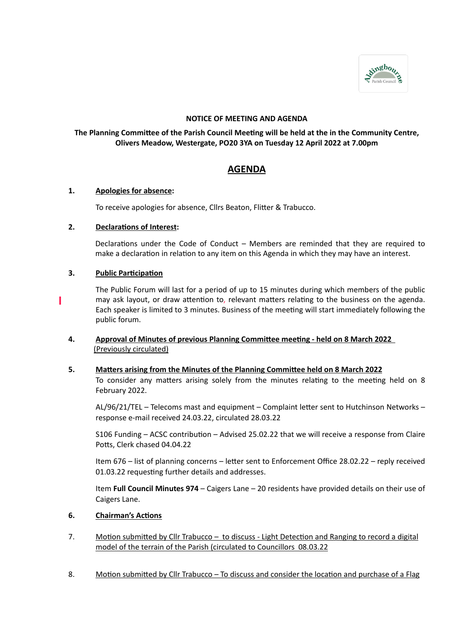

## **NOTICE OF MEETING AND AGENDA**

## **The Planning Committee of the Parish Council Meeting will be held at the in the Community Centre, Olivers Meadow, Westergate, PO20 3YA on Tuesday 12 April 2022 at 7.00pm**

# **AGENDA**

## **1. Apologies for absence:**

To receive apologies for absence, Cllrs Beaton, Flitter & Trabucco.

## **2. Declarations of Interest:**

Declarations under the Code of Conduct – Members are reminded that they are required to make a declaration in relation to any item on this Agenda in which they may have an interest.

## **3. Public Participation**

The Public Forum will last for a period of up to 15 minutes during which members of the public may ask layout, or draw attention to, relevant matters relating to the business on the agenda. Each speaker is limited to 3 minutes. Business of the meeting will start immediately following the public forum.

## **4. Approval of Minutes of previous Planning Committee meeting - held on 8 March 2022** (Previously circulated)

## **5. Matters arising from the Minutes of the Planning Committee held on 8 March 2022**

To consider any matters arising solely from the minutes relating to the meeting held on 8 February 2022.

AL/96/21/TEL – Telecoms mast and equipment – Complaint letter sent to Hutchinson Networks – response e-mail received 24.03.22, circulated 28.03.22

S106 Funding – ACSC contribution – Advised 25.02.22 that we will receive a response from Claire Potts, Clerk chased 04.04.22

Item 676 – list of planning concerns – letter sent to Enforcement Office 28.02.22 – reply received 01.03.22 requesting further details and addresses.

Item **Full Council Minutes 974** – Caigers Lane – 20 residents have provided details on their use of Caigers Lane.

## **6. Chairman's Actions**

- 7. Motion submitted by Cllr Trabucco to discuss Light Detection and Ranging to record a digital model of the terrain of the Parish (circulated to Councillors 08.03.22
- 8. Motion submitted by Cllr Trabucco To discuss and consider the location and purchase of a Flag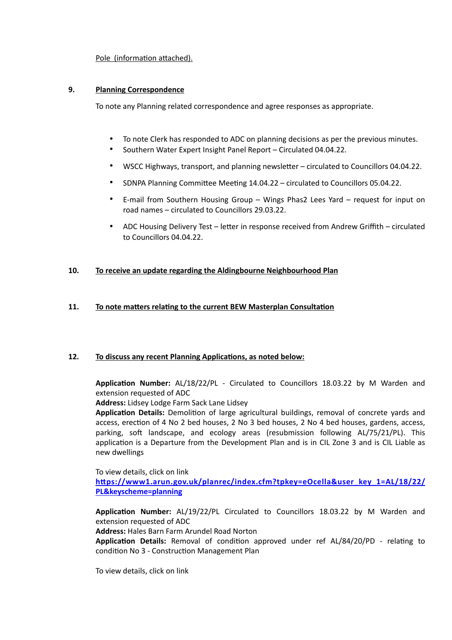## Pole (information attached).

### **9. Planning Correspondence**

To note any Planning related correspondence and agree responses as appropriate.

- To note Clerk has responded to ADC on planning decisions as per the previous minutes.
- Southern Water Expert Insight Panel Report Circulated 04.04.22.
- WSCC Highways, transport, and planning newsletter circulated to Councillors 04.04.22.
- SDNPA Planning Committee Meeting 14.04.22 circulated to Councillors 05.04.22.
- E-mail from Southern Housing Group Wings Phas2 Lees Yard request for input on road names – circulated to Councillors 29.03.22.
- ADC Housing Delivery Test letter in response received from Andrew Griffith circulated to Councillors 04.04.22.

### **10. To receive an update regarding the Aldingbourne Neighbourhood Plan**

### **11. To note matters relating to the current BEW Masterplan Consultation**

### **12. To discuss any recent Planning Applications, as noted below:**

**Application Number:** AL/18/22/PL - Circulated to Councillors 18.03.22 by M Warden and extension requested of ADC

**Address:** Lidsey Lodge Farm Sack Lane Lidsey

**Application Details:** Demolition of large agricultural buildings, removal of concrete yards and access, erection of 4 No 2 bed houses, 2 No 3 bed houses, 2 No 4 bed houses, gardens, access, parking, soft landscape, and ecology areas (resubmission following AL/75/21/PL). This application is a Departure from the Development Plan and is in CIL Zone 3 and is CIL Liable as new dwellings

To view details, click on link **[https://www1.arun.gov.uk/planrec/index.cfm?tpkey=eOcella&user\\_key\\_1=AL/18/22/](https://www1.arun.gov.uk/planrec/index.cfm?tpkey=eOcella&user_key_1=AL/18/22/PL&keyscheme=planning) [PL&keyscheme=planning](https://www1.arun.gov.uk/planrec/index.cfm?tpkey=eOcella&user_key_1=AL/18/22/PL&keyscheme=planning)** 

**Application Number:** AL/19/22/PL Circulated to Councillors 18.03.22 by M Warden and extension requested of ADC

**Address:** Hales Barn Farm Arundel Road Norton

**Application Details:** Removal of condition approved under ref AL/84/20/PD - relating to condition No 3 - Construction Management Plan

To view details, click on link